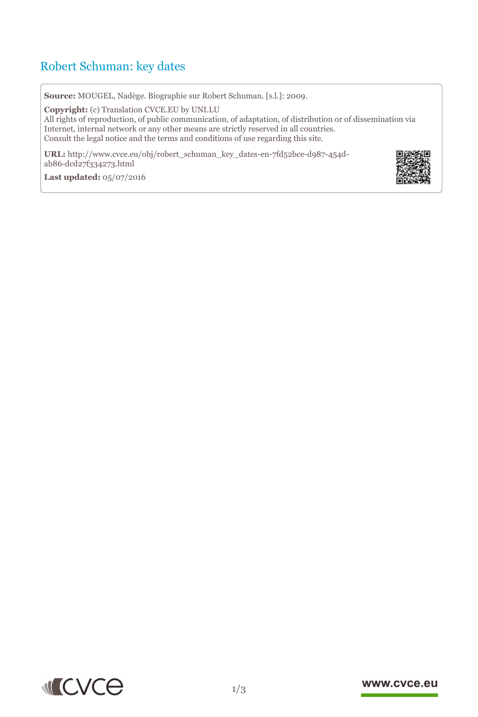# Robert Schuman: key dates

**Source:** MOUGEL, Nadège. Biographie sur Robert Schuman. [s.l.]: 2009.

**Copyright:** (c) Translation CVCE.EU by UNI.LU All rights of reproduction, of public communication, of adaptation, of distribution or of dissemination via Internet, internal network or any other means are strictly reserved in all countries. Consult the legal notice and the terms and conditions of use regarding this site.

**URL:** http://www.cvce.eu/obj/robert\_schuman\_key\_dates-en-7fd52bce-d987-454dab86-dcd[27f334273.html](http://www.cvce.eu/obj/robert_schuman_key_dates-en-7fd52bce-d987-454d-ab86-dcd27f334273.html)

**Las[t updated:](http://www.cvce.eu/obj/robert_schuman_key_dates-en-7fd52bce-d987-454d-ab86-dcd27f334273.html)** 05/07/2016



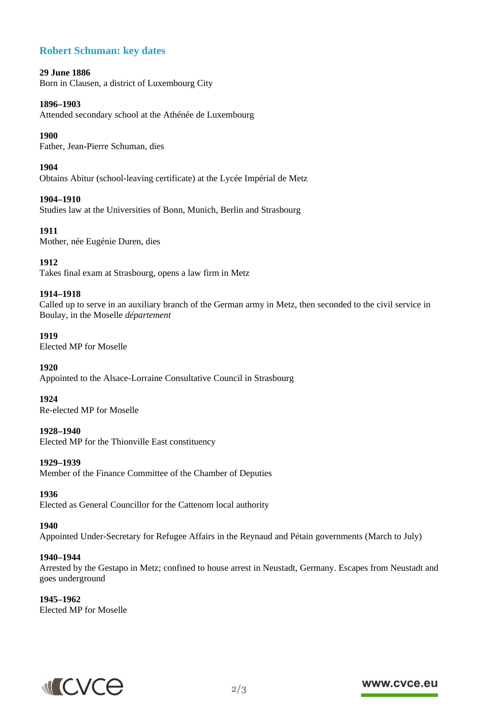# **Robert Schuman: key dates**

#### **29 June 1886**

Born in Clausen, a district of Luxembourg City

#### **1896–1903**

Attended secondary school at the Athénée de Luxembourg

#### **1900**

Father, Jean-Pierre Schuman, dies

#### **1904**

Obtains Abitur (school-leaving certificate) at the Lycée Impérial de Metz

# **1904–1910**

Studies law at the Universities of Bonn, Munich, Berlin and Strasbourg

# **1911**

Mother, née Eugénie Duren, dies

# **1912**

Takes final exam at Strasbourg, opens a law firm in Metz

#### **1914–1918**

Called up to serve in an auxiliary branch of the German army in Metz, then seconded to the civil service in Boulay, in the Moselle *département*

#### **1919**

Elected MP for Moselle

#### **1920**

Appointed to the Alsace-Lorraine Consultative Council in Strasbourg

#### **1924**

Re-elected MP for Moselle

#### **1928–1940**

Elected MP for the Thionville East constituency

#### **1929–1939**

Member of the Finance Committee of the Chamber of Deputies

#### **1936**

Elected as General Councillor for the Cattenom local authority

#### **1940**

Appointed Under-Secretary for Refugee Affairs in the Reynaud and Pétain governments (March to July)

#### **1940–1944**

Arrested by the Gestapo in Metz; confined to house arrest in Neustadt, Germany. Escapes from Neustadt and goes underground

**1945–1962** Elected MP for Moselle



# www.cvce.eu